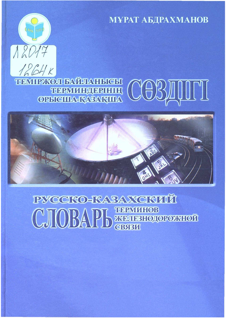**МҰРАТ АБДРАХМАНОВ** 



## **ТЕМІРЖОЛ БАЙЛАНЫСЫ ТЕРМИНДЕРІНІҢ**<br>ОРЫСША-ҚАЗАҚША





# **РУССКО-КАЗАХСКИЙ** СЛОВАРЬ ЖЕЛЕЗНОДОРОЖНОЙ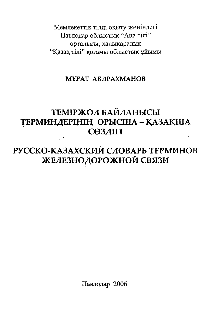Мемлекеттік тіллі окыту жөніндегі Павлодар облыстық "Ана тілі" орталығы, халықаралық "Казак тілі" қоғамы облыстық ұйымы

#### МҰРАТ АБДРАХМАНОВ

## **ТЕМІРЖОЛ БАЙЛАНЫСЫ** ТЕРМИНДЕРІНІҢ ОРЫСША - ҚАЗАҚША СӨЗДІГІ

## РУССКО-КАЗАХСКИЙ СЛОВАРЬ ТЕРМИНОВ ЖЕЛЕЗНОДОРОЖНОЙ СВЯЗИ

Павлодар 2006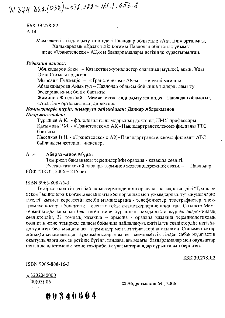$8/374.822(038)=572.122-161.1.656.2$ 

**SSK 39 278.82** A 14

> Мемлекеттік тілді оқыту жөніндегі Павлодар облыстық «Ана тілі» орталығы, Халықаралық «Қазақ тілі» қоғамы Павлодар облыстық ұйымы және «Транстелеком» АҚ-мы бағдарламалары негізінде құрастырылған.

#### Редакция алкасы:

Әбдіқадыров Бақи - Қазақстан журналистер одағының мүшесі, ақын, Ұлы Отан Соғысы ардагері

Мырсалы Гулженіс - «Транстелеком» АҚ-мы жетекші маманы Абылқайырова Айымгүл – Павлодар облысы бойынша тілдерді дамыту баскармасының бөлім бастығы

Жәминов Жолдыбай - Мемлекеттік тілді оқыту жөніндегі Павлодар облыстық «Ана тілі» орталығының директоры

Компьютерде теріп, шығаруға дайындаған: Данияр Абдрахманов Пікір жазғандар:

Тұрышев А.Қ. - филология ғылымдарының докторы, ПМУ профессоры Касымова Р.М. - «Транстелеком» АК «Павлодартранстелеком» филиалы ТТС бастығы

Пасенков В.Н. - «Транстелеком» АК «Павлодартранстелеком» филиалы АТС байланысы жетекші инженері

#### $A<sub>14</sub>$ Абдрахманов Мұрат

Теміржол байланысы терминдерінің орысша - қазақша сөздігі.

Русско-казахский словарь терминов железнодорожной связи. -Павлодар: ҒОФ "ЭКО", 2006 - 215 бет

#### ISBN 9965-808-16-3

Теміржол колігіндегі байланыс терминдерінің орысша - қазақша сөздігі "Транстелском" акционерлік қоғамы аясындағы кәсіпорындар мен ұжымдардың тұтынушыларға тікелей қызмет көрсететін кәсіби мамандарына - телефонистер, телеграфистер, электромеханиктер, абоненттік -- есептік тобы қызметкерлеріне арналған. Сөздікте Мемтерминкомда қаралып бекітілген және бұрыннан қолданыста жүрген академиялық сездіктердің, 31 томдық қазақша - орысша - орысша қазақша терминологиялық сөздіктің және теміржол саласы бойынша пайдалануға енгізілген сөздіктердің негізінде түзілген бес мыңнан аса терминдер мен сөз тіркестері қамтылған. Сонымен қатар жинакта мекемелердегі аудармашыларға және мемлекеттік тілден сабақ жүргізетін оқытушыларға көмек ретінде бүгінгі таңдағы ағымдағы бағдарламалар мен оқулықтар негізінде әдістемелік және тәжірибелік үлгі материалдар сұрыпталып берілген.

**EEK 39.278.92** 

ISBN 9965-808-16-3

A 3202040000  $00(05)-06$ 

© Абдрахманов М., 2006

00340604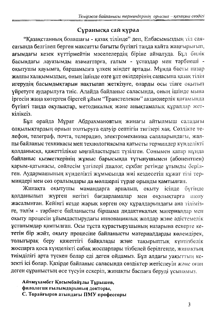#### Суранысқа сай қүрал

"Казакстанның болашағы - казақ тілінде" деп, Елбасымыздың тіл саясатында белгілеп берген максатты бағыты бүгінгі таңда қайта жаңғырығып, ағымдағы кезек күттірмейтін мәселелердің біріне айналуда. Бұл билік басындағы лауазымды азаматтарға, ғалым - ұстаздар мен тәрбиеші оқытушы қауымға, баршамызға үлкен міндет артады. Мұнда басты назар жалпы халқымыздың, оның ішінде өзге ұлт өкілдерінің санасына қазақ тілін игерудің басымдықтарын нақтылап жеткізуге, оларды осы тілге оқытып үйретуге аударылуға тиіс. Алайда байланыс саласында, оның ішінде мына іргесін жаңа көтерген бірегей ұйым "Транстелеком" акционерлік қоғамында бүгінгі таңда оқулықтар, методикалық және анықтамалық құралдар жеткіпіксіз.

Бұл орайда Мұрат Абдрахмановтың жинағы айтылмыш саладағы олқылықтардың орнын толтыруға едәуір септігін тигізері хақ. Сөздікте телефон, телеграф, почта, телерадио, электромеханика салаларындагы, жалпы байланыс техникасы мен технологиясына қатысты терминдер күнделікті қолданысқа, қажеттілікке ыңғайластырып түзілген. Сонымен қатар мұнда байланыс қызметкерінің жұмыс барысында тұтынушымен (абонентпен) қарым-қатынасы, сөйлесім үлгілері диалог, сұхбат ретінде ұтымды берілген. Аудармашының күнделікті жұмысында жиі кездесетін құжат тілі терминдері мен сөз оралымдары да мөлшерлі түрде орынды қамтылған.

Жинакта окытушы мамандарга арналып, окыту ісінде бүгінде колданылып негізгі бағдарламалар мен оқулықтарға жүрген шолу жасалынған. Кейінгі кезде жарық көрген оқу құралдарындағы ана тілімізге, тәлім - тәрбиеге байланысты біршама дидактикалық материалдар мен оқыту процесін ұйымдастырудағы инновациялық жолдар және әдістемелік ұстанымдар қамтылған. Осы тұста құрастырушының назарына ескерге кететін бір жәйт, оқыту процесіне байланысты материалдарды көлемдірек, толығырақ беру қажеттігі байқалады және тақырыптық күнтізбелік жоспарға қоса күнделікті сабақ жоспарлары тізбелей берілгенде, жинақтың тиімділігі арта түскен болар еді деген ойдамыз. Бұл алдағы уақыттың кезекті ісі болар. Қазірде байланыс саласында сөздіктер жетіспеуін және оған деген сұраныстың өсе түсуін ескеріп, жинақты баспаға беруді ұсынамыз.

Айтмұхамбет Қасымбайұлы Тұрышев, филология ғылымдарының докторы, С. Торайғыров атындағы ПМУ профессоры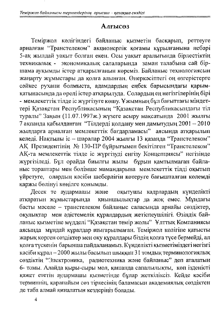#### **Алғысөз**

Теміржол көлігіндегі байланыс қызметін басқарып, реттеуге арналған "Транстелеком" акционерлік қоғамы құрылғанына небәрі 5-ақ жылдай уақыт болған екен. Осы уақыт аралығында бірлестіктің техникалық - экономикалық салаларында заман талабына сай біршама ауқымды істер атқарылғанын көреміз. Байланыс технологиясын жаңарту жұмыстары да қолға алынған. Өнеркәсіптегі оң өзгерістерге сәйкес рухани болмыста, адамдардың еңбек барысындағы қарымқатынасында да өрелі істер атқарылуда. Солардың ең негізгілерінің бірі - мемлекеттік тілде іс жүргізуге көшу. Ұжымның бұл бағыттағы міндеттері Қазақстан Республикасының "Қазақстан Республикасындағы тіл туралы" Заңын (11.07.1997ж.) жүзеге асыру мақсатында 2001 жылғы 7 ақпанда қабылданған "Тілдерді қолдану мен дамытудың 2001 - 2010 жылдарға арналған мемлекеттік бағдарламасы" аясында атқарылып келеді. Нақтылы іс - шаралар 2004 жылғы 13 қазанда "Транстелеком" АҚ Президентінің № 130-ПР бұйрығымен бекітілген "Транстелеком" АҚ-та мемлекеттік тілде іс жүргізуді енгізу Концепциясы" негізінде жүргізіледі. Бұл орайда биылғы жылы бұрын қамтылмаған байланыс тораптары мен бөлімше мамандарына мемлекеттік тілді оқытып үйретуге, олардың кәсіби шеберлігін көтеруге бағышталған көлемді қаржы бөлінуі көңілге қонымды.

Десек те аудармациы және оқытушы кадрлардың күнделікті атқаратын жұмыстарында қиыншылықтар да жоқ емес. Мұндағы басты мәселе - транстелеком байланыс саласында арнайы сөздіктер, окулыктар мен әдістемелік құралдардың жетіспеушілігі. Өзіндік байланыс қызметіне мүдделі "Қазақстан темір жолы" Ұлттық Компаниясы аясында мұндай құралдар шығарылмаған. Теміржол көлігіне қатысты жарық көрген сөздіктер мен оқу құралдары біздің қолға түсе бермейді, ал колға түскенін барынша пайдаланамыз. Күнделікті қызметіміздегі негізгі кәсіби құрал - 2000 жылы басылып шыққан 31 томдық терминологиялық сөздіктің "Электроника, радиотехника және байланыс" деп аталатын 6- томы. Алайда қыры-сыры мол, қашанда сапалылықты, көп ізденісті қажет ететін аудармашы қызметінде бұлар жеткіліксіз. Кейде кәсіби терминнің, қарапайым сөз тіркесінің баламасын академиялық сөздіктен де таба алмай киналатын кездеріңіз болады.

 $\overline{A}$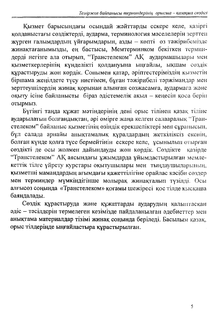Қызмет барысындағы осындай жәйттарды ескере келе, қазіргі қолданыстағы сөздіктерді, аударма, терминология мәселелерін зерттен жүрген ғалымдардың ұйғарымдарын, азды - көпті өз тәжірибемізде жинақтағанымызды, ең бастысы, Мемтерминком бекіткен терминдерді негізге ала отырып, "Транстелеком" АҚ аудармашылары мен қызметкерлерінің күнделікті қолдануына ыңғайлы, ықшам сөздік құрастыруды жөн көрдік. Сонымен қатар, әріптестеріміздің қызметін біршама жеңілдете түсу ниетімен, бұған тәжірибелі тәржімандар мен зерттеушілердің жинақ қорынан алынған сөзжасамға, аудармаға және оқыту ісіне байланысты біраз әдістемелік ақыл - кеңесін қоса берін отырмыз.

Бүгінгі таңда құжат мәтіндерінің дені орыс тілінен қазақ тіліне аударылатын болғандықтан, әрі өмірге жаңа келген салааралық "Транстелеком" байланыс қызметінің өзіндік ерекшеліктері мен сұранысын, бұл салада арнайы анықтамалық құралдардың жеткіліксіз екенін, болған күнде қолға түсе бермейтінін ескере келе, ұсынылып отырған сөздікті де осы жолмен дайындауды жөн көрдік. Сөздікте казірле "Транстелеком" АҚ аясындағы ұжымдарда ұйымдастырылған мемлекеттік тілге үйрету курстары оқытушылары мен тыңдаушыларының, қызметші мамандардың ағымдағы қажеттілігіне орайлас кәсіби сөздер мен терминдер мүмкіндігінше молырақ жинақталып түзілді. Осы алғысөз соңында «Транстелеком» қоғамы шежіресі қос тілде қысқаша баяндалады.

Сөздік құрастыруда және құжаттарды аударудың қалыптасқан әдіс - тәсілдерін термелеген кезімізде пайдаланылған әдебиеттер мен анықтама материалдар тізімі жинақ соңында беріледі. Басылым қазақ, орыс тілдерінде ыңғайластыра құрастырылған.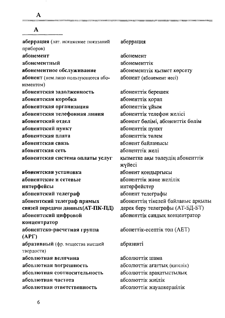${\bf A}$ 

| A                                                 |                                            |
|---------------------------------------------------|--------------------------------------------|
| аберрация (лат. искажение показаний<br>приборов)  | аберрация                                  |
| абонемент                                         | абонемент                                  |
| абонементный                                      | абонементтік                               |
| абонементное обслуживание                         | абонементтік қызмет көрсету                |
| абонент (нем. лицо пользующееся або-<br>нементом) | абонент (абонемент иесі)                   |
| абонентская задолженность                         | абоненттік берешек                         |
| абонентская коробка                               | абоненттік қорап                           |
| абонентская организация                           | абоненттік ұйым                            |
| абонентская телефонная линия                      | абоненттік телефон желісі                  |
| абонентский отдел                                 | абонент бөлімі, абоненттік бөлім           |
| абонентский пункт                                 | абоненттік пункт                           |
| абонентская плата                                 | абоненттік төлем                           |
| абонентская связь                                 | абонент байланысы                          |
| абонентская сеть                                  | абоненттік желі                            |
| абонентская система оплаты услуг                  | қызметке ақы төлеудің абоненттік<br>жүйесі |
| абонентская установка                             | абонент қондырғысы                         |
| абонентские и сетевые                             | абоненттік және желілік                    |
| интерфейсы                                        | интерфейстер                               |
| абонентский телеграф                              | абонент телеграфы                          |
| абонентский телеграф прямых                       | абоненттің тікелей байланыс арқылы         |
| связей передачи данных (АТ-ПК-ПД)                 | дерек беру телеграфы (АТ-БД-БТ)            |
| абонентский цифровой                              | абоненттік сандық концентратор             |
| концентратор                                      |                                            |
| абонентско-расчетная группа<br>(APT)              | абонеттік-есептік топ (АЕТ)                |
| абразивный (фр. вещества высшей<br>твердости)     | абразивті                                  |
| абсолютная величина                               | абсолюттік шама                            |
| абсолютная погрешность                            | абсолюттік ағаттық (қателік)               |
| абсолютная соотносительность                      | абсолюттік арақатыстылық                   |
| абсолютная частота                                | абсолюттік жиілік                          |
| абсолютная ответственность                        | абсолюттік жауапкершілік                   |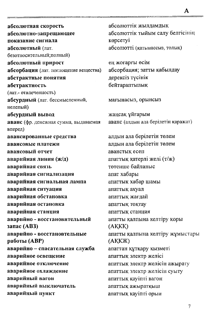абсолютная скорость абсолютно-запрещающее показание сигнала абсолютный (лат. безотносительный; полный) абсолютный прирост абсорбация (лат. поглощение вещества) абстрактные понятия абстрактность (лат.- отвлеченность) абсурдный (лат. бессмысленный, нелепый) абсурдный вывод аванс (фр. денежная сумма, выдаваемая вперед) авансированные средства авансовые платежи явансовый отчет аварийная линия (ж/д) аварийная связь аварийная сигнализация аварийная сигнальная лампа аварийная ситуация аварийная обстановка аварийная остановка аварийная станция аварийно - восстановительный запас (АВЗ) аварийно - восстановтельные работы (АВР) аварийно - спасательная служба аварийное освещение аварийное отключение аварийное охлаждение аварийный вагон аварийный выключатель аварийный пункт

абсолюттік жылламлык абсолюттік тыйым салу белгісінің көрсетуі абсолютті (катынассыз, толық)

ең жоғарғы өсім абсорбация; затты кабылдау дерексіз түсінік бейтараптылық

мағынасыз, орынсыз

жаңсақ ұйғарым аванс (алдын ала берілетін қаражат)

алдын ала берілетін төлем аллын ала берілетін төлем аванстык есеп апаттық қатерлі желі (т/ж) төтенше байланыс апат хабары апаттық хабар шамы апаттық ахуал апаттык жағлай апаттық тоқтау апаттык станния апатты қалпына келтіру қоры (AKKK) апатты қалпына келтіру жұмыстары (AKK)K) апаттан құтқару қызметі апаттық электр желісі апаттық электр желісін ажырату апаттық электр желісін суыту апаттық қауіпті вагон апаттық ажыратқыш апаттық қауіпті орын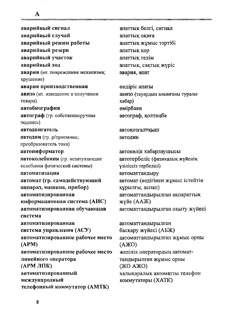аварийный сигнал аварийный случай аварийный режим работы аварийный резерв аварийный участок аварийный ход авария (ит. повреждение механизма; крушение) авария производственная авизо (ит. извещение о получении товара) автобиография автограф (гр. собственноручная подпись) автодвигатель автодин (гр. р/приемник; преобразователь тока) автоинформатор автоколебания (гр. незатухающие колебания физической системы) автоматизация автомат (гр. самодействующий аппарат, машина, прибор) автоматизированная информационная система (АИС) автоматизированная обучающая система автоматизированная система управления (АСУ) автоматизированное рабочее место  $(APM)$ автоматизированное рабочее место линейного оператора (АРМ ЛПК) автоматизированный международный телефонный коммутатор (АМТК)

апаттық белгі, сигнал апаттык окиға апаттық жұмыс тәртібі апаттық қор апаттық телім апаттық, сақтық жүріс авария, апат

өндіріс апаты авизо (тауардың алынғаны туралы хабар) өмірбаян автограф, қолтаңба

автокозғалтқыш автодин

автокөлік хабарлаушысы автотербеліс (физикалық жүйенің узіліссіз тербелісі) автоматтандыру автомат (өздігінен жұмыс істейтін құрылғы, аспап) автоматтандырылған ақпараттық жүйе (ААЖ) автоматтандырылған оқыту жүйесі

автоматтандырылған басқару жүйесі (АБЖ) автоматтандырылған жұмыс орны (AXO) желілік оператордың автоматтандырылған жұмыс орны (ЖО АЖО) халықаралық автоматты телефон **коммутаторы** (XATK)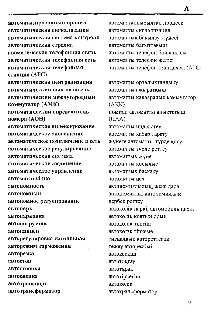автоматизированный процесс автоматическая сигнализация автоматическая система контроля автоматическая стрелка авоматическая телефонная связь автоматическая телефонная сеть автоматическая телефонная станция (АТС) автоматическая централизация автоматический выключатель автоматический междугородный коммутатор (АМК) автоматический определитель номера (АОН) автоматическое индексирование автоматическое оповещение автоматическое подключение в сеть автоматическое регулирование автоматическая система автоматическое соелинение автоматическое управление автоматный нех автономность автономный автономное регулирование автопарк автопарковка автопогрузчик автоприцеп авторегулировка сигнальная авторежим торможения авторезка автостоп автостоянка автоспенка автотранспорт автотрансформатор

автоматтандырылған процесс автоматты сигнализация автоматтык бакылау жүйесі автоматты бағыттағыш автоматты телефон байланысы автоматты телефон желісі автоматты телефон станциясы (АТС)

A

автоматты орталықтандыру автоматты ажыратқыш автоматты қалааралық коммутатор  $(AKK)$ нөмірді автоматты анықтағыш (HAA) автоматты индекстеу автоматты хабар тарату жүйеге автоматты түрде қосу автоматты түрде реттеу автоматтық жүйе автоматты косылыс автоматтык баскару автоматты цех автономиялылык, жеке дара автономиялы, автономиялық дербес реттеу автоколік паркі, автомобиль паркі автокөлік қоятын орын автокөлік тиегіш автоколік тіркеме сигналдық автореттегіш тежеу авторежімі автокескіш автотоктау автотұрақ автотіркегіш автоколік автотрансформатор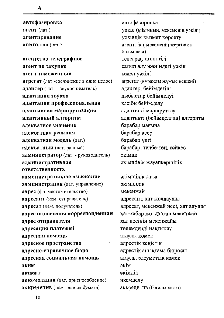автофазировка агент (лат.) агентирование агентство (лат.)

A

агентство телеграфное агент по закупке агент таможенный агрегат (лат.-соединение в одно целое) адаптер (лат. - звукосниматель) адаптация звуков адаптация профессиональная адаптивная маршрутизация адаптивный алгоритм адекватное значение адекватная реакция адекватная модель (лат.) адекватный (лат. равный) администратор (лат. - руководитель) административная ответственность административное взыскание администрация (лат. управление) адрес (фр. местожительство) адресант (нем. отправитель) адресат (нем. получатель) адрес назначения корреспонденции адрес отправителя адресация платежей адресная помощь адресное пространство адресно-справочное бюро адресная социальная помощь яким акимат аккомодация (лат. приспособление) аккредитив (нем. ценная бумага)

автофазировка уэкіл (ұйымның, мекеменің уәкілі) уэкілдік қызмет көрсету агенттік (мекеменің жергілікті бөлімшесі) телеграф агенттігі сатып алу жөніндегі уәкіл кеден уәкілі агрегат (құраңды жұмыс кешені) адаптер, бейімдегіш дыбыстар бейімделуі кәсіби бейімделу адаптивті маршруттау адаптивті (бейімделгіш) алгоритм барабар мағына барабар әсер барабар үлгі барабар, теңбе-тең, сәйкес әкімші экімшілік жауапкершілік

экімшілік жаза әкімшілік мекенжай адресант, хат жолдаушы адресат, мекенжай иесі, хат алушы хат-хабар жолданған мекенжай хат иесінің мекенжайы төлемдерді нақтылау атаулы көмек адрестік кеңістік адрестік анықтама бюросы атаулы әлеуметтік комек әкім әкімлік икемделу аккредитив (бағалы қағаз)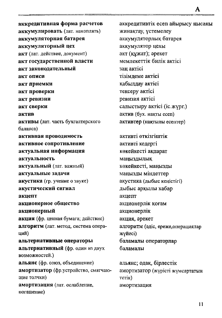аккредитивная форма расчетов аккумулировать (лат. накоплять) аккумуляторная батарея аккумуляторный цех акт (лат. действие, документ) акт государственной власти акт законодательный акт описи акт приемки акт проверки акт ревизии акт сверки актив активы (лат. часть бухгалтерского баланса) активная проводимость активное сопротивление актуальная информация актуальность актуальный (лат. важный) актуальные задачи акустика (гр. учение о звуке) акустический сигнал акиепт акционерное общество акционерный акция (фр. ценная бумага; действие) алгоритм (лат. метод, система операиий) альтернативные операторы альтернативный (фр. один из двух возможностей.) альянс (фр. союз, объединение) амортизатор (фр.устройство, смягчающие толчки) амортизация (лат. ослабление, погашение)

аккредитивтік есеп айырысу нысаны жинақтау, үстемелеу аккумуляторлық батарея аккумулятор цехы акт (құжат); әрекет мемлекеттік билік актісі зан актісі тізімдеме актісі қабылдау актісі тексеру актісі ревизия актісі салыстыру актісі (іс. жүрг.) актив (бух. накты есеп) активтер (нақтылы есептер)

A

активті өткізгіштік активті кедергі көкейкесті ақпарат маныздылық көкейкесті, маңызды маңызды міндеттер акустика (дыбыс кеңістігі) дыбыс арқылы хабар акцепт акционерлік қоғам акционерлік акция, әрекет алгоритм (әдіс, ереже, операциялар жүйесі) баламалы операторлар баламалы

альянс; одак, бірлестік амортизатор (жүрісті жүмсартатын Terik) амортизация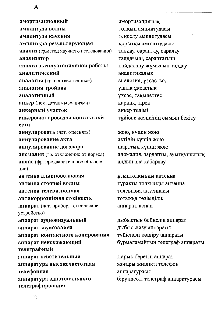A

амортизационный амплитуда волны амплитуда качения амплитуда результирующая анализ (гр.метод научного исследования) анализатор анализ эксплуатационной работы аналитический аналогия (гр. соотвественный) аналогия тройная аналогичный анкер (нем. деталь механизма) анкерный участок анкеровка проводов контактной сети аннулировать (лат. отменять) аннулирование акта аннулирование договора аномалия (гр. отклонение от нормы) анонс (фр. предварительное объявление) антенна ллинноволновая антенна стоячей волны антенна телевизионная антикоррозийная стойкость аппарат (лат. прибор, техническое устройство) аппарат аудиовизуальный аппарат звукозаписи аппарат контактного копирования аппарат неискажающий телеграфный аппарат осветительный аппаратура высокочастотная телефонная аппаратура однотонального телеграфирования

амортизациялық толқын амплитудасы теңселу амплитудасы қорытқы амплитудасы талдау, сараптау, саралау талдағыш, сараптағыш пайдалану жұмысын талдау аналитикалык аналогия, уксастык үштік ұқсастық ұқсас, тақылеттес қарнақ, тірек анкер телімі тұйіспе желісінің сымын бекіту

жою, күшін жою актінің күшін жою шарттың күшін жою аномалия, зардапты, ауытқушылық алдын ала хабарлау

ұзынтолқынды антенна тұрақты толқынды антенна телевизия антеннасы тотыкка төзімділік аппарат, аспап

дыбыстық бейнелік аппарат дыбыс жазу аппараты түйіспелі көшіру аппараты бұрмаламайтын телеграф аппараты

жарық беретін аппарат жоғары жиілікті телефон аппаратурасы бірүндесті телеграф аппаратурасы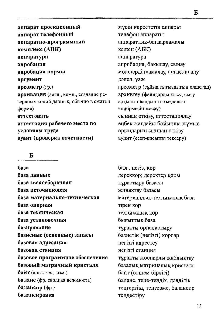аппарат проекционный аппарат телефонный аппаратно-программный комплекс (АПК) аппаратура апробация апробация нормы аргумент ареометр (гр.) архивация (англ., комп., создание резервных копий данных, обычно в сжатой форме) аттестовать аттестация рабочего места по условиям труда аудит (проверка отчетности)

#### Б

база база данных база звеносборочная база источниковая база материально-техническая база опорная база техническая база установочная базирование базисные (основные) запасы базовая адресация базовая станция базовое программное обеспечение базовый матричный кристалл байт (англ. - ед. изм.) баланс (фр. сводная ведомость) балансир (фр.) балансировка

мүсін көрсететін аппарат телефон аппараты аппараттық-бағдарламалы кешен (АБК) аппаратура апробация, бақылау, сынау мөлшерді шамалау, анықтап алу дэлел, уаж ареометр (сұйық тығыздығын олшегіш) архивтеу (файлдарды қысу, сығу арқылы олардың тығыздалған коцирмесін жасау) сыннан өткізу, аттестациялау еңбек жағдайы бойынша жұмыс орындарын сыннан өткізу аудит (есеп-кисапты тексеру)

база, негіз, қор дерекқор; деректер қоры кұрастыру базасы жинақтау базасы материалдық-техникалық база тірек қор техникалық қор бығыттык база тұрақты орналастыру базистік (негізгі) қорлар негізгі адрестеу негізгі станция тұрақты жоспарлы жабдықтау базалық матрицалық кристалл байт (өлшем бірлігі) баланс, тепе-тендік, дәлділік теңгергіш, теңгерме, балансир тендестіру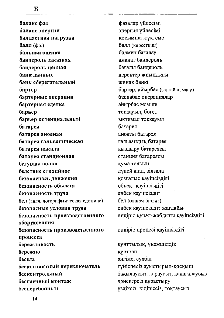баланс фаз баланс энергии балластная нагрузка  $6a$ лл $(dp.)$ бальная опенка бандероль заказная бандероль ценная банк данных банк сберегательный бартер бартерные операции бартерная сделка барьер барьер потенциальный батарея батарея анодная батарея гальваническая батарея накала батарея станционная бегущая волна бедствие стихийное безопаснось движения безопасность объекта безопасность труда бел (англ. логарифмическая единица) безопасные условия труда безопасность производственного оборудования безопасность производственного процесса бережливость бережно беседа бесконтактный переключатель бесконтрольный беспаечный монтаж бесперебойный

фазалар үйлесімі энергия үйлесімі косымша жүктеме балл (көрсеткіш) балмен бағалау аманат бандероль бағалы бандероль деректер жиынтығы жинак банкі бартер; айырбас (заттай алмасу) баспабас операциялар айырбас мәміле тосқауыл, бөгет ықтимал тосқауыл батарея анодты батарея гальвандық батарея қыздыру батареясы станция батареясы кума толкын дулей апат, зілзала қозғалыс қауіпсіздігі объект қауіпсіздігі еңбек қауіпсіздігі бел (өлшем бірлігі) еңбек қауіпсіздігі жағдайы өндіріс құрал-жабдығы қауіпсіздігі өндіріс процесі қауіпсіздігі

құнттылық, үнемшілдік құнттап эңгіме, сухбат түйіспесіз ауыстырып-қосқыш бақылаусыз, қараусыз, қадағалаусыз дәнекерсіз құрастыру үздіксіз; кідіріссіз, тоқтаусыз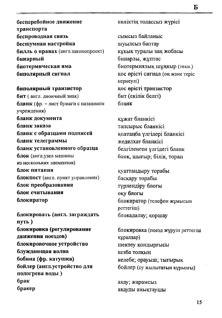бесперебойное движение транспорта беспроводная связь бесшумная настройка билль о правах (англ.законопроект) бинарный биотермическая яма биполярный сигнал

биполярный транзистор бит (англ. двоичный знак) бланк (фр. - лист бумаги с названием учреждения) бланк документа бланк заказа бланк с образцами подписей бланк телеграммы бланк установленного образца блок (англ.узел машины из нескольких элементов) блок питания блокпост (англ. пункт управления) блок преобразования блок считывания блокиратор

блокировать (англ. заграждать путь) блокировка (регулирование движения поездов) блокировочное устройство блуждающая волна бобина (фр. катушка) бойлер (англ.устройство для подогрева воды) брак бракер

көліктің толассыз жүрісі

сымсыз байланыс шуылсыз баптау құқық туралы заң жобасы бинарлы, жұптас биотермиялық шұңкыр (техн.) кос өрісті сигнал (оң және теріс кернеулі) кос өрісті транзистор бит (екілік белгі) бланк

құжат бланкісі тапсырыс бланкісі қолтаңба үлгілері бланкісі желелхат бланкісі белгіленген үлгідегі бланк блок, шығыр; білік, торап

куаттандыру торабы басқару торабы түрлендіру блогы оқу блогы блокиратор (телефон жұмысын perrerim) блокадалау; қоршау

блокировка (поезд жүруін реттегіш құралдар) шектеу қондырғысы кезбе толкын келебе; орауыш; тығырық бойлер (су жылытатын құрылғы)

ақау; жарамсыз ақауды анықтаушы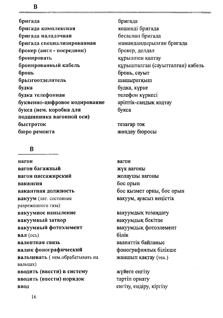бригада бригада комплексная бригада наладочная бригада специализированная брокер (англ - посредник) бронировать бронированный кабель бронь брызгоотделитель будка будка телефонная буквенно-цифровое кодирование букса (нем. коробка для подшинника вагонной оси) быстроток бюро ремонта

#### $\bf{B}$

вагон вагон багажный вагон пассажирский вакансия вакантная должность вакуум (лат. состояние разреженного газа) вакуумное напыление вакуумный затвор вакуумный фотоэлемент вал (ось) валентная связь валик фонографический вальцевать (нем.обрабатывать на вальцах) вводить (ввести) в систему вводить (ввести) порядок ввод

бригада кешенді бригада бесаспап бригада мамандандырылған бригада брокер, делдал құрышпен қаптау құрышталған (сауытталған) кабель бронь, сауыт шашыратқыш будка, күрке телефон күркесі эріптік-сандық кодтау букса

тезағар ток жөндеу бюросы

вагон жүк вагоны жолаушы вагоны бос орын бос қызмет орны. бос орын вакуум, ауасыз кеңістік

вакуумдық тозаңдату вакуумдық бекітпе вакуумдық фотоэлемент білік валенттік байланыс фонографиялық білікше жаншып қақтау (тех.)

жүйеге еңгізу тәртіп орнату енгізу, ендіру, кіргізу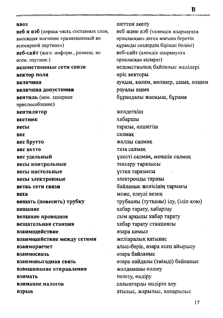#### всемирной паутине») веб-сайт (англ. информ., размещ. во всем. наутине.) веломственные сети связи вектор поля величина величина допустимая вентиль (нем. запорное приспособление) вентилятор **вестник** весы **Rec** вес брутто вес нетто вес удельный весы контрольные весы настольные весы электронные ветвь сети связи **Bexa** вешать (повесить) трубку вещание вещание проводное вешательная станция взаимолействие взаимодействие между сетями взаиморасчет **ВЗАИМОСВЯЗЬ** взаимовыгодная связь взвешивание отправления взимать взимание налогов **ВЗРЫВ**

веб и вэб (первая часть составных слов, вносящая значение «размещенный во

**RB03** 

шеттен әкелу веб және вэб («әлемдік шырмауқта орналаскан» деген мағына беретін құрамды сөздердің бірінші бөлімі) веб-сайт (элемдік шырмауқта орналаскан акпарат) ведомстволық байланыс желілері өріс векторы ауқым, көлем, мөлшер, шама, өлшем рауалы шама бұрандалы жапқыш, бұрама желлеткіш хабаршы таразы, өлшегіш салмак жалпы салмак таза салмак улесті салмақ, меншік салмақ тексеру таразысы үстел таразысы электронды таразы байланыс желісінің тармағы меже, елеулі кезең трубканы (тутқаны) ілу, (іліп қою) хабар тарату, хабарлау сым арқылы хабар тарату хабар тарату станциясы өзара кимыл желіаралық қатынас алыс-беріс, өзара есеп айырысу өзара байланыс өзара пайдалы (тиімді) байланыс жолдаманы өлшеу төлету, өндіру салыктарды өндіріп алу атылыс, жарылыс, қопарылыс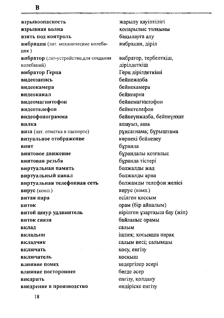взрывоопасность взрывная волна взять под контроль вибрация (лат. механические колебания) вибратор (лат-устройство, для создания колебаний) вибратор Герца видеозапись видеокамера видеоканал видеомагнитофон видеотелефон видеофонограмма вилка виза (лат. отметка в паспорте) визуальное отображение винт винтовое движение винтовая резьба виртуальная память виртуальный канал виртуальная телефонная сеть вирус (комп.) витая пара виток витой шнур удлинитель виток связи вклад вкладыш вкладчик включать включатель влияние помех влияние постороннее внедрить внедрение в производство

жарылу қауіптілігі копарылыс толкыны бақылауға алу вибрация, діріл вибратор, тербелткіш, дірілдеткіш Герц дірілдеткіші бейнежазба бейнекамера бейнеарна бейнемагнитофон бейнетелефон бейнеүнжазба, бейнеүнхат ашауыз, аша рұқсатнама; бұрыштама көрнекі бейнелеу бұранда бұрандалы қозғалыс бұранда тістері болжалды жад болжалды арна болжамды телефон желісі вирус (комп.) есілген қоссым орам (бір айналым) иірілген ұзартқыш бау (жіп) байланыс орамы салым ішпек; қосымша парақ салым иесі; салымшы косу, енгізу коскыш кедергілер әсері бөгде әсер енгізу, қолдану ондіріске енгізу

R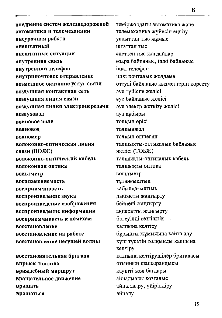внедрение систем железнодорожной автоматики и телемеханики внеурочная работа внештатный внештатные ситуации внутренняя связь внутренний телефон внутрипочтовое отправление возмездное оказание услуг связи воздушная контактная сеть **ВОЗДУШНАЯ ЛИНИЯ СВЯЗИ** воздушная линия электропередачи воздуховод волновое поле волновод волномер волоконно-оптическая линия связи (ВОЛС) волоконно-оптический кабель волоконная оптика вольтмето воспламеняемость восприимчивость воспроизведение звука воспроизведение изображения воспроизведение информации восприимчивость к помехам восстановление восстановление на работе восстановление несущей волны восстановительная бригада впрыск топлива враждебный маршрут вращательное движение

вращать вращаться теміржолдағы автоматика және. телемеханика жүйесін еңгізу уакыттан тыс жұмыс штаттан тыс эдеттен тыс жағдайлар өзара байланыс, ішкі байланыс ішкі телефон ішкі почталык жоллама өтеулі байланыс қызметтерін көрсету әуе түйіспе желісі әуе байланыс желісі эуе электр жеткізу желісі ауа құбыры толкын өрісі толкынжол толкын өлшегіш талшыкты-оптикалык байланыс желісі (ТОБЖ) талшықты-оптикалык кабель талшыкты оптика вольтметр тұтанғыштық кабылдағыштық дыбысты жаңғырту бейнені жаңғырту ақпаратты жаңғырту бөгеуіллі сезгіштік қалпына келтіру бұрынғы жұмысына кайта алу күш түсетін толқынды қалпына келтіру қалпына келтірушілер бригадасы отынның шашырандысы кауіпті жол бағдары айналмалы козғалыс айналдыру; үйірілдіру айналу